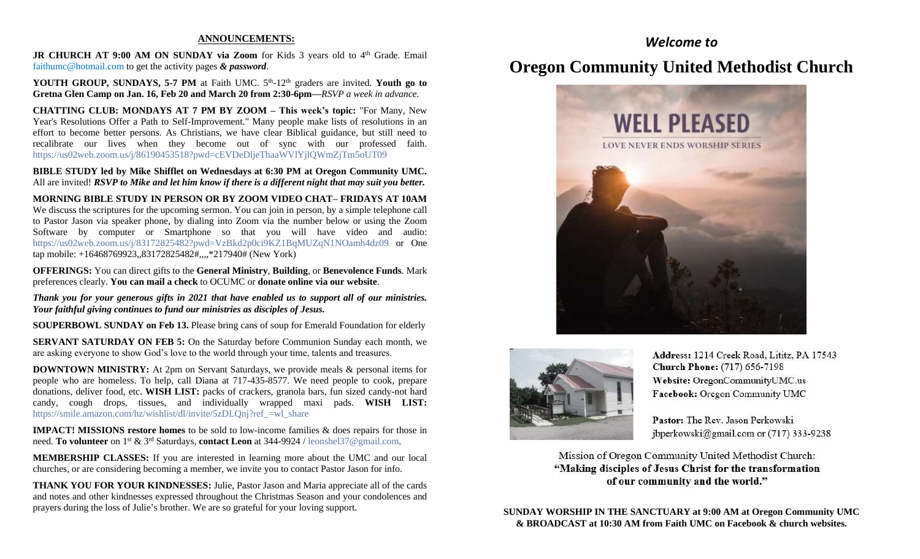#### **ANNOUNCEMENTS:**

JR CHURCH AT 9:00 AM ON SUNDAY via Zoom for Kids 3 years old to 4<sup>th</sup> Grade. Email [faithumc@hotmail.com](about:blank) to get the activity pages *& password*.

YOUTH GROUP, SUNDAYS, 5-7 PM at Faith UMC. 5<sup>th</sup>-12<sup>th</sup> graders are invited. Youth go to **Gretna Glen Camp on Jan. 16, Feb 20 and March 20 from 2:30-6pm—***RSVP a week in advance.*

**CHATTING CLUB: MONDAYS AT 7 PM BY ZOOM – This week's topic:** "For Many, New Year's Resolutions Offer a Path to Self-Improvement." Many people make lists of resolutions in an effort to become better persons. As Christians, we have clear Biblical guidance, but still need to recalibrate our lives when they become out of sync with our professed faith. https://us02web.zoom.us/j/86190453518?pwd=cEVDeDljeThaaWVlYjlQWmZjTm5oUT09

**BIBLE STUDY led by Mike Shifflet on Wednesdays at 6:30 PM at Oregon Community UMC.**  All are invited! *RSVP to Mike and let him know if there is a different night that may suit you better.*

**MORNING BIBLE STUDY IN PERSON OR BY ZOOM VIDEO CHAT– FRIDAYS AT 10AM**  We discuss the scriptures for the upcoming sermon. You can join in person, by a simple telephone call to Pastor Jason via speaker phone, by dialing into Zoom via the number below or using the Zoom Software by computer or Smartphone so that you will have video and audio: [https://us02web.zoom.us/j/83172825482?pwd=VzBkd2p0ci9KZ1BqMUZqN1NOamh4dz09](about:blank) or One tap mobile: +16468769923,,83172825482#,,,,\*217940# (New York)

**OFFERINGS:** You can direct gifts to the **General Ministry**, **Building**, or **Benevolence Funds**. Mark preferences clearly. **You can mail a check** to OCUMC or **donate online via our website**.

*Thank you for your generous gifts in 2021 that have enabled us to support all of our ministries. Your faithful giving continues to fund our ministries as disciples of Jesus.*

**SOUPERBOWL SUNDAY on Feb 13.** Please bring cans of soup for Emerald Foundation for elderly

**SERVANT SATURDAY ON FEB 5:** On the Saturday before Communion Sunday each month, we are asking everyone to show God's love to the world through your time, talents and treasures.

**DOWNTOWN MINISTRY:** At 2pm on Servant Saturdays, we provide meals & personal items for people who are homeless. To help, call Diana at 717-435-8577. We need people to cook, prepare donations, deliver food, etc. **WISH LIST:** packs of crackers, granola bars, fun sized candy-not hard candy, cough drops, tissues, and individually wrapped maxi pads. **WISH LIST:** [https://smile.amazon.com/hz/wishlist/dl/invite/5zDLQnj?ref\\_=wl\\_share](about:blank)

**IMPACT! MISSIONS restore homes** to be sold to low-income families & does repairs for those in need. **To volunteer** on 1st & 3rd Saturdays, **contact Leon** at 344-9924 / [leonshel37@gmail.com.](about:blank)

**MEMBERSHIP CLASSES:** If you are interested in learning more about the UMC and our local churches, or are considering becoming a member, we invite you to contact Pastor Jason for info.

**THANK YOU FOR YOUR KINDNESSES:** Julie, Pastor Jason and Maria appreciate all of the cards and notes and other kindnesses expressed throughout the Christmas Season and your condolences and prayers during the loss of Julie's brother. We are so grateful for your loving support.

## *Welcome to*

## **Oregon Community United Methodist Church**





Address: 1214 Creek Road, Lititz, PA 17543 **Church Phone:** (717) 656-7198 Website: OregonCommunityUMC.us Facebook: Oregon Community UMC

Pastor: The Rev. Jason Perkowski jbperkowski@gmail.com or (717) 333-9238

Mission of Oregon Community United Methodist Church: "Making disciples of Jesus Christ for the transformation of our community and the world."

**SUNDAY WORSHIP IN THE SANCTUARY at 9:00 AM at Oregon Community UMC & BROADCAST at 10:30 AM from Faith UMC on Facebook & church websites.**